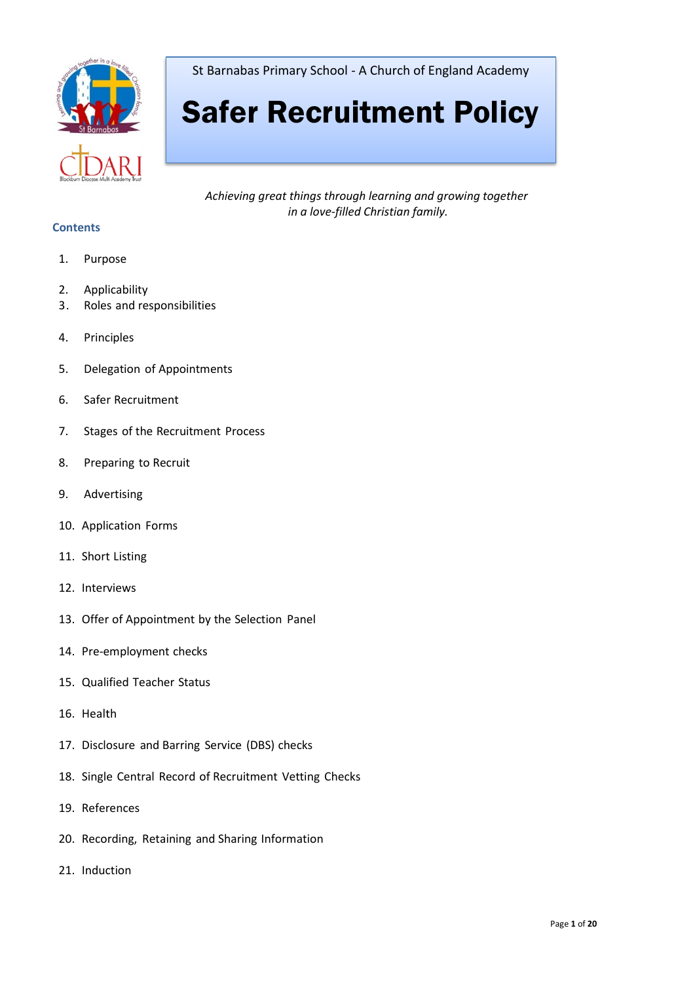

St Barnabas Primary School - A Church of England Academy

# Safer Recruitment Policy

*Achieving great things through learning and growing together in a love-filled Christian family.*

## **Contents**

- 1. Purpose
- 2. Applicability
- 3. Roles and responsibilities
- 4. Principles
- 5. Delegation of Appointments
- 6. Safer Recruitment
- 7. Stages of the Recruitment Process
- 8. Preparing to Recruit
- 9. Advertising
- 10. Application Forms
- 11. Short Listing
- 12. Interviews
- 13. Offer of Appointment by the Selection Panel
- 14. Pre-employment checks
- 15. Qualified Teacher Status
- 16. Health
- 17. Disclosure and Barring Service (DBS) checks
- 18. Single Central Record of Recruitment Vetting Checks
- 19. References
- 20. Recording, Retaining and Sharing Information
- 21. Induction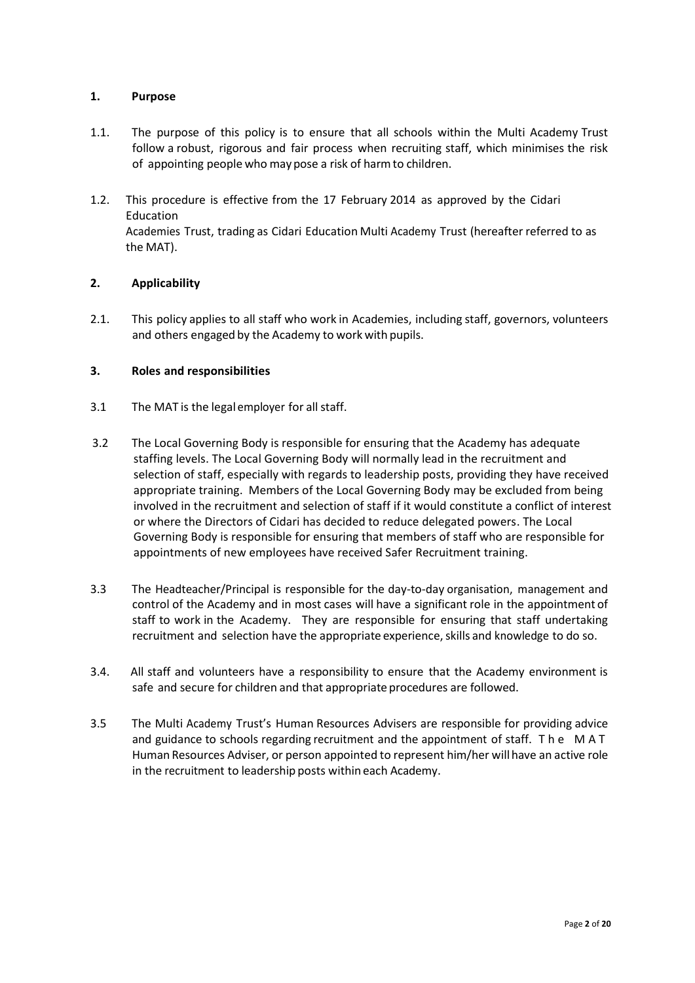## **1. Purpose**

- 1.1. The purpose of this policy is to ensure that all schools within the Multi Academy Trust follow a robust, rigorous and fair process when recruiting staff, which minimises the risk of appointing people who may pose a risk of harmto children.
- 1.2. This procedure is effective from the 17 February 2014 as approved by the Cidari Education Academies Trust, trading as Cidari Education Multi Academy Trust (hereafter referred to as the MAT).

## **2. Applicability**

2.1. This policy applies to all staff who work in Academies, including staff, governors, volunteers and others engaged by the Academy to work with pupils.

## **3. Roles and responsibilities**

- 3.1 The MAT is the legal employer for all staff.
- 3.2 The Local Governing Body is responsible for ensuring that the Academy has adequate staffing levels. The Local Governing Body will normally lead in the recruitment and selection of staff, especially with regards to leadership posts, providing they have received appropriate training. Members of the Local Governing Body may be excluded from being involved in the recruitment and selection of staff if it would constitute a conflict of interest or where the Directors of Cidari has decided to reduce delegated powers. The Local Governing Body is responsible for ensuring that members of staff who are responsible for appointments of new employees have received Safer Recruitment training.
- 3.3 The Headteacher/Principal is responsible for the day-to-day organisation, management and control of the Academy and in most cases will have a significant role in the appointment of staff to work in the Academy. They are responsible for ensuring that staff undertaking recruitment and selection have the appropriate experience, skills and knowledge to do so.
- 3.4. All staff and volunteers have a responsibility to ensure that the Academy environment is safe and secure for children and that appropriate procedures are followed.
- 3.5 The Multi Academy Trust's Human Resources Advisers are responsible for providing advice and guidance to schools regarding recruitment and the appointment of staff. T h e M A T Human Resources Adviser, or person appointed to represent him/her willhave an active role in the recruitment to leadership posts withineach Academy.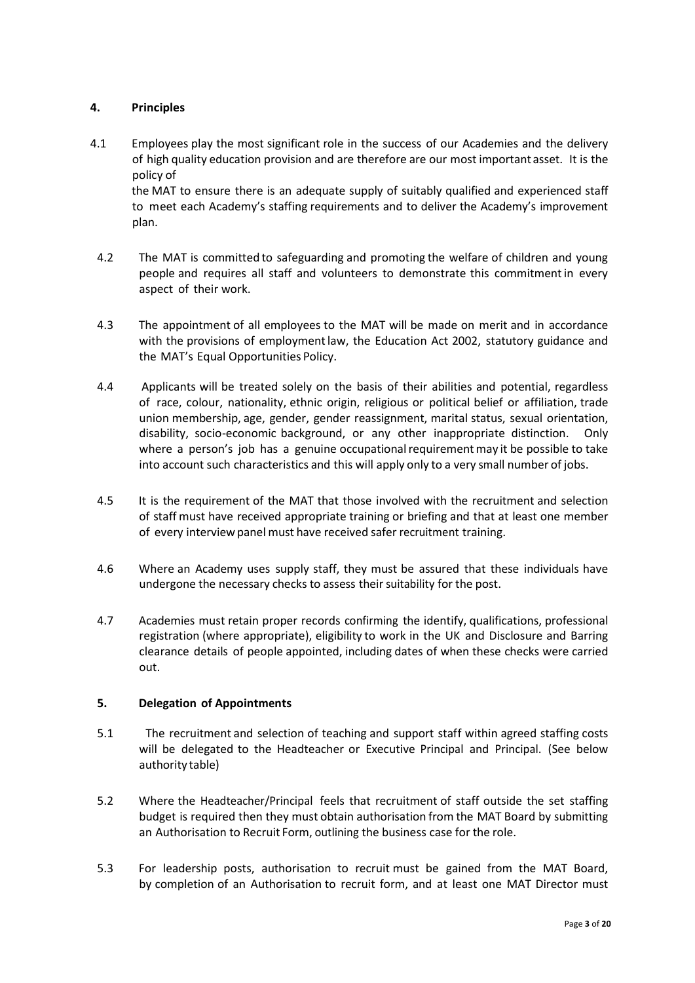# **4. Principles**

4.1 Employees play the most significant role in the success of our Academies and the delivery of high quality education provision and are therefore are our most important asset. It is the policy of

the MAT to ensure there is an adequate supply of suitably qualified and experienced staff to meet each Academy's staffing requirements and to deliver the Academy's improvement plan.

- 4.2 The MAT is committed to safeguarding and promoting the welfare of children and young people and requires all staff and volunteers to demonstrate this commitmentin every aspect of their work.
- 4.3 The appointment of all employees to the MAT will be made on merit and in accordance with the provisions of employmentlaw, the Education Act 2002, statutory guidance and the MAT's Equal Opportunities Policy.
- 4.4 Applicants will be treated solely on the basis of their abilities and potential, regardless of race, colour, nationality, ethnic origin, religious or political belief or affiliation, trade union membership, age, gender, gender reassignment, marital status, sexual orientation, disability, socio-economic background, or any other inappropriate distinction. Only where a person's job has a genuine occupational requirement may it be possible to take into account such characteristics and this will apply only to a very small number of jobs.
- 4.5 It is the requirement of the MAT that those involved with the recruitment and selection of staff must have received appropriate training or briefing and that at least one member of every interview panel must have received safer recruitment training.
- 4.6 Where an Academy uses supply staff, they must be assured that these individuals have undergone the necessary checks to assess their suitability for the post.
- 4.7 Academies must retain proper records confirming the identify, qualifications, professional registration (where appropriate), eligibility to work in the UK and Disclosure and Barring clearance details of people appointed, including dates of when these checks were carried out.

## **5. Delegation of Appointments**

- 5.1 The recruitment and selection of teaching and support staff within agreed staffing costs will be delegated to the Headteacher or Executive Principal and Principal. (See below authority table)
- 5.2 Where the Headteacher/Principal feels that recruitment of staff outside the set staffing budget is required then they must obtain authorisation from the MAT Board by submitting an Authorisation to Recruit Form, outlining the business case for the role.
- 5.3 For leadership posts, authorisation to recruit must be gained from the MAT Board, by completion of an Authorisation to recruit form, and at least one MAT Director must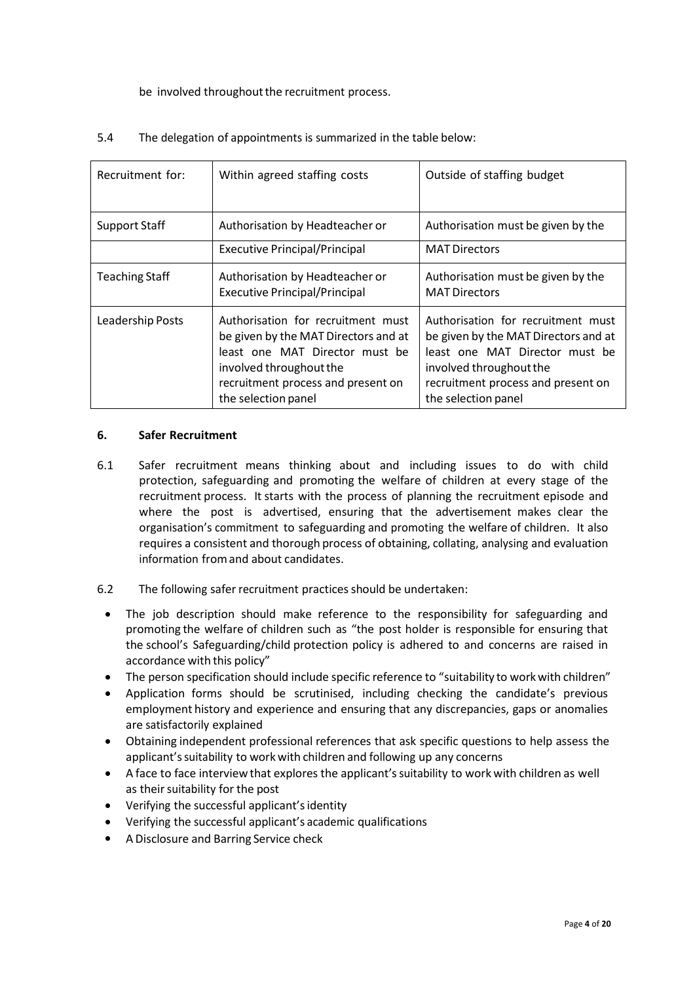be involved throughout the recruitment process.

| Recruitment for:      | Within agreed staffing costs                                                                                                                                                                         | Outside of staffing budget                                                                                                                                                                           |
|-----------------------|------------------------------------------------------------------------------------------------------------------------------------------------------------------------------------------------------|------------------------------------------------------------------------------------------------------------------------------------------------------------------------------------------------------|
| <b>Support Staff</b>  | Authorisation by Headteacher or                                                                                                                                                                      | Authorisation must be given by the                                                                                                                                                                   |
|                       | <b>Executive Principal/Principal</b>                                                                                                                                                                 | <b>MAT Directors</b>                                                                                                                                                                                 |
| <b>Teaching Staff</b> | Authorisation by Headteacher or<br><b>Executive Principal/Principal</b>                                                                                                                              | Authorisation must be given by the<br><b>MAT Directors</b>                                                                                                                                           |
| Leadership Posts      | Authorisation for recruitment must<br>be given by the MAT Directors and at<br>least one MAT Director must be<br>involved throughout the<br>recruitment process and present on<br>the selection panel | Authorisation for recruitment must<br>be given by the MAT Directors and at<br>least one MAT Director must be<br>involved throughout the<br>recruitment process and present on<br>the selection panel |

5.4 The delegation of appointments is summarized in the table below:

## **6. Safer Recruitment**

- 6.1 Safer recruitment means thinking about and including issues to do with child protection, safeguarding and promoting the welfare of children at every stage of the recruitment process. It starts with the process of planning the recruitment episode and where the post is advertised, ensuring that the advertisement makes clear the organisation's commitment to safeguarding and promoting the welfare of children. It also requires a consistent and thorough process of obtaining, collating, analysing and evaluation information fromand about candidates.
- 6.2 The following safer recruitment practices should be undertaken:
- The job description should make reference to the responsibility for safeguarding and promoting the welfare of children such as "the post holder is responsible for ensuring that the school's Safeguarding/child protection policy is adhered to and concerns are raised in accordance with this policy"
- The person specification should include specific reference to "suitability to work with children"
- Application forms should be scrutinised, including checking the candidate's previous employment history and experience and ensuring that any discrepancies, gaps or anomalies are satisfactorily explained
- Obtaining independent professional references that ask specific questions to help assess the applicant's suitability to work with children and following up any concerns
- A face to face interview that explores the applicant'ssuitability to work with children as well as their suitability for the post
- Verifying the successful applicant'sidentity
- Verifying the successful applicant's academic qualifications
- A Disclosure and Barring Service check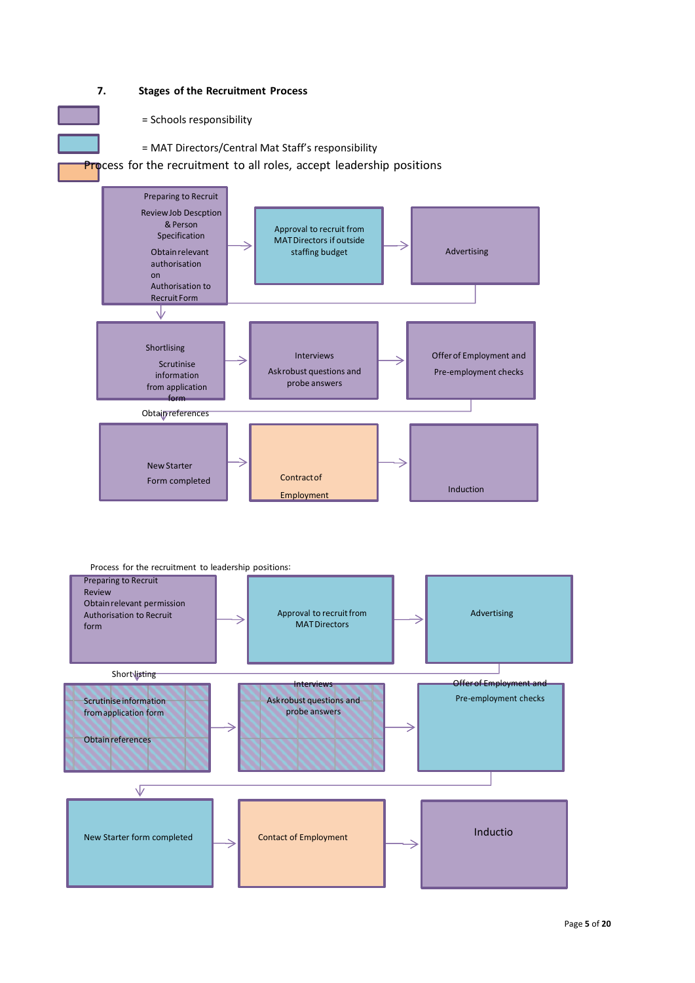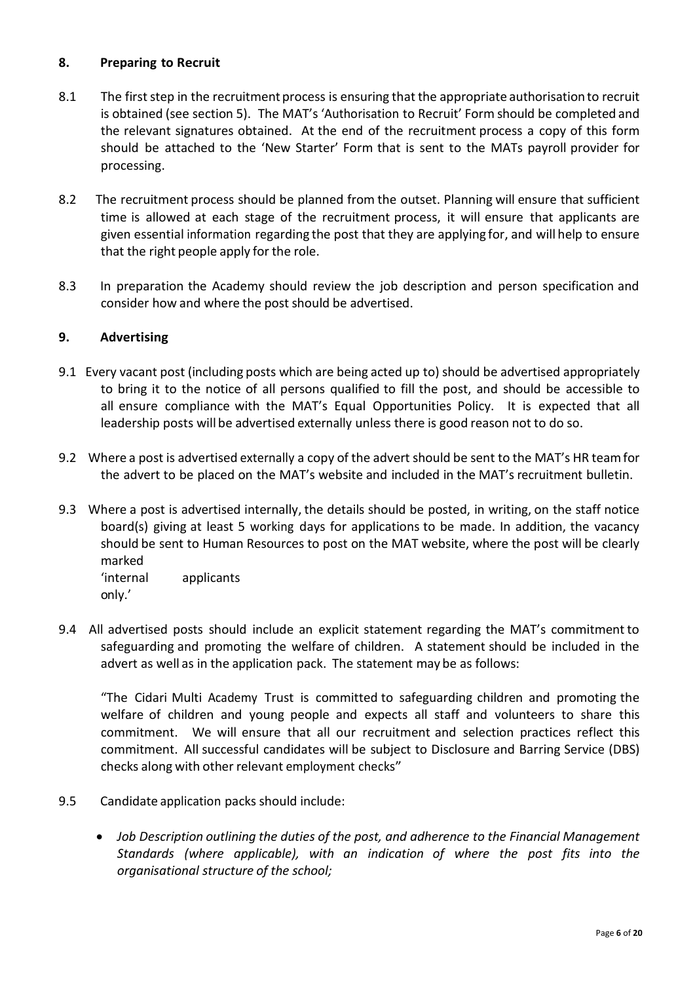# **8. Preparing to Recruit**

- 8.1 The first step in the recruitment process is ensuring that the appropriate authorisation to recruit is obtained (see section 5). The MAT's 'Authorisation to Recruit' Form should be completed and the relevant signatures obtained. At the end of the recruitment process a copy of this form should be attached to the 'New Starter' Form that is sent to the MATs payroll provider for processing.
- 8.2 The recruitment process should be planned from the outset. Planning will ensure that sufficient time is allowed at each stage of the recruitment process, it will ensure that applicants are given essential information regarding the post that they are applying for, and will help to ensure that the right people apply for the role.
- 8.3 In preparation the Academy should review the job description and person specification and consider how and where the post should be advertised.

# **9. Advertising**

- 9.1 Every vacant post (including posts which are being acted up to) should be advertised appropriately to bring it to the notice of all persons qualified to fill the post, and should be accessible to all ensure compliance with the MAT's Equal Opportunities Policy. It is expected that all leadership posts will be advertised externally unless there is good reason not to do so.
- 9.2 Where a post is advertised externally a copy of the advert should be sent to the MAT's HR team for the advert to be placed on the MAT's website and included in the MAT's recruitment bulletin.
- 9.3 Where a post is advertised internally, the details should be posted, in writing, on the staff notice board(s) giving at least 5 working days for applications to be made. In addition, the vacancy should be sent to Human Resources to post on the MAT website, where the post will be clearly marked

'internal applicants only.'

9.4 All advertised posts should include an explicit statement regarding the MAT's commitment to safeguarding and promoting the welfare of children. A statement should be included in the advert as well as in the application pack. The statement may be as follows:

"The Cidari Multi Academy Trust is committed to safeguarding children and promoting the welfare of children and young people and expects all staff and volunteers to share this commitment. We will ensure that all our recruitment and selection practices reflect this commitment. All successful candidates will be subject to Disclosure and Barring Service (DBS) checks along with other relevant employment checks"

- 9.5 Candidate application packs should include:
	- *Job Description outlining the duties of the post, and adherence to the Financial Management Standards (where applicable), with an indication of where the post fits into the organisational structure of the school;*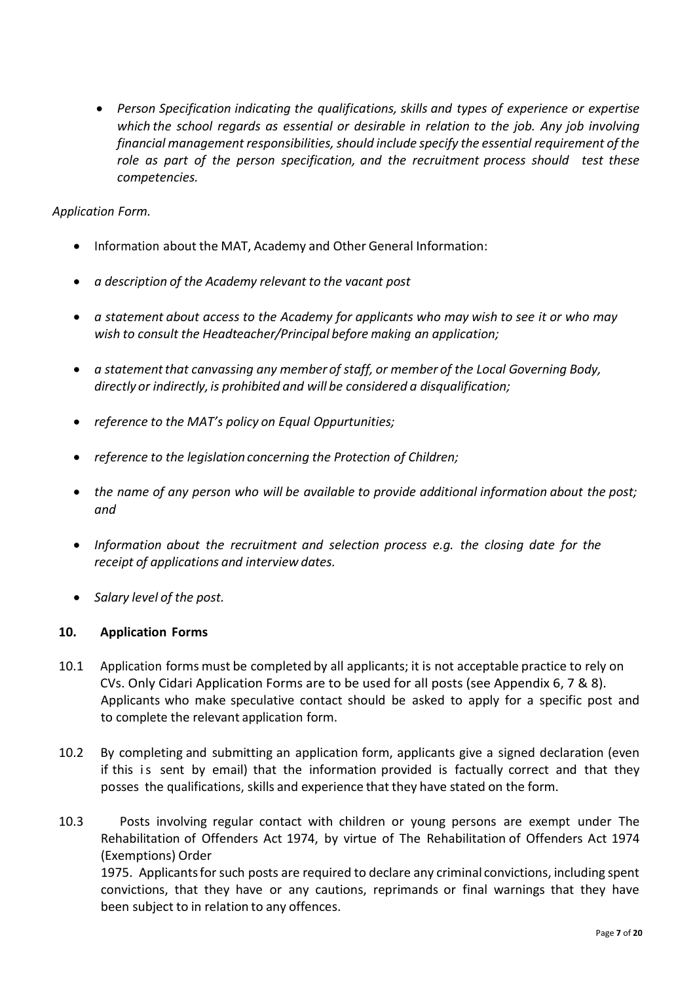*Person Specification indicating the qualifications, skills and types of experience or expertise which the school regards as essential or desirable in relation to the job. Any job involving financial management responsibilities, should include specify the essential requirement of the role as part of the person specification, and the recruitment process should test these competencies.*

*Application Form.*

- Information about the MAT, Academy and Other General Information:
- *a description of the Academy relevant to the vacant post*
- *a statement about access to the Academy for applicants who may wish to see it or who may wish to consult the Headteacher/Principal before making an application;*
- *a statementthat canvassing any member of staff, or member of the Local Governing Body, directly or indirectly, is prohibited and will be considered a disqualification;*
- *reference to the MAT's policy on Equal Oppurtunities;*
- *reference to the legislation concerning the Protection of Children;*
- *the name of any person who will be available to provide additional information about the post; and*
- *Information about the recruitment and selection process e.g. the closing date for the receipt of applications and interview dates.*
- *Salary level of the post.*

# **10. Application Forms**

- 10.1 Application forms must be completed by all applicants; it is not acceptable practice to rely on CVs. Only Cidari Application Forms are to be used for all posts (see Appendix 6, 7 & 8). Applicants who make speculative contact should be asked to apply for a specific post and to complete the relevant application form.
- 10.2 By completing and submitting an application form, applicants give a signed declaration (even if this is sent by email) that the information provided is factually correct and that they posses the qualifications, skills and experience that they have stated on the form.
- 10.3 Posts involving regular contact with children or young persons are exempt under The Rehabilitation of Offenders Act 1974, by virtue of The Rehabilitation of Offenders Act 1974 (Exemptions) Order 1975. Applicants for such posts are required to declare any criminal convictions, including spent convictions, that they have or any cautions, reprimands or final warnings that they have been subject to in relation to any offences.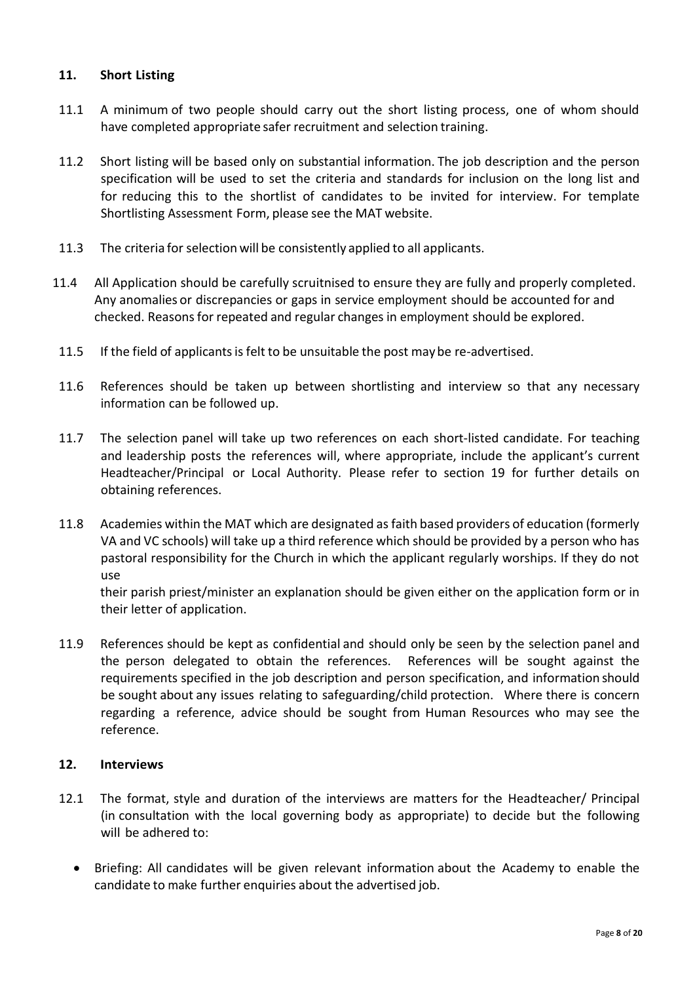# **11. Short Listing**

- 11.1 A minimum of two people should carry out the short listing process, one of whom should have completed appropriate safer recruitment and selection training.
- 11.2 Short listing will be based only on substantial information. The job description and the person specification will be used to set the criteria and standards for inclusion on the long list and for reducing this to the shortlist of candidates to be invited for interview. For template Shortlisting Assessment Form, please see the MAT website.
- 11.3 The criteria for selection will be consistently applied to all applicants.
- 11.4 All Application should be carefully scruitnised to ensure they are fully and properly completed. Any anomalies or discrepancies or gaps in service employment should be accounted for and checked. Reasonsfor repeated and regular changes in employment should be explored.
- 11.5 If the field of applicantsis felt to be unsuitable the post maybe re-advertised.
- 11.6 References should be taken up between shortlisting and interview so that any necessary information can be followed up.
- 11.7 The selection panel will take up two references on each short-listed candidate. For teaching and leadership posts the references will, where appropriate, include the applicant's current Headteacher/Principal or Local Authority. Please refer to section 19 for further details on obtaining references.
- 11.8 Academies within the MAT which are designated as faith based providers of education (formerly VA and VC schools) will take up a third reference which should be provided by a person who has pastoral responsibility for the Church in which the applicant regularly worships. If they do not use

their parish priest/minister an explanation should be given either on the application form or in their letter of application.

11.9 References should be kept as confidential and should only be seen by the selection panel and the person delegated to obtain the references. References will be sought against the requirements specified in the job description and person specification, and information should be sought about any issues relating to safeguarding/child protection. Where there is concern regarding a reference, advice should be sought from Human Resources who may see the reference.

# **12. Interviews**

- 12.1 The format, style and duration of the interviews are matters for the Headteacher/ Principal (in consultation with the local governing body as appropriate) to decide but the following will be adhered to:
	- Briefing: All candidates will be given relevant information about the Academy to enable the candidate to make further enquiries about the advertised job.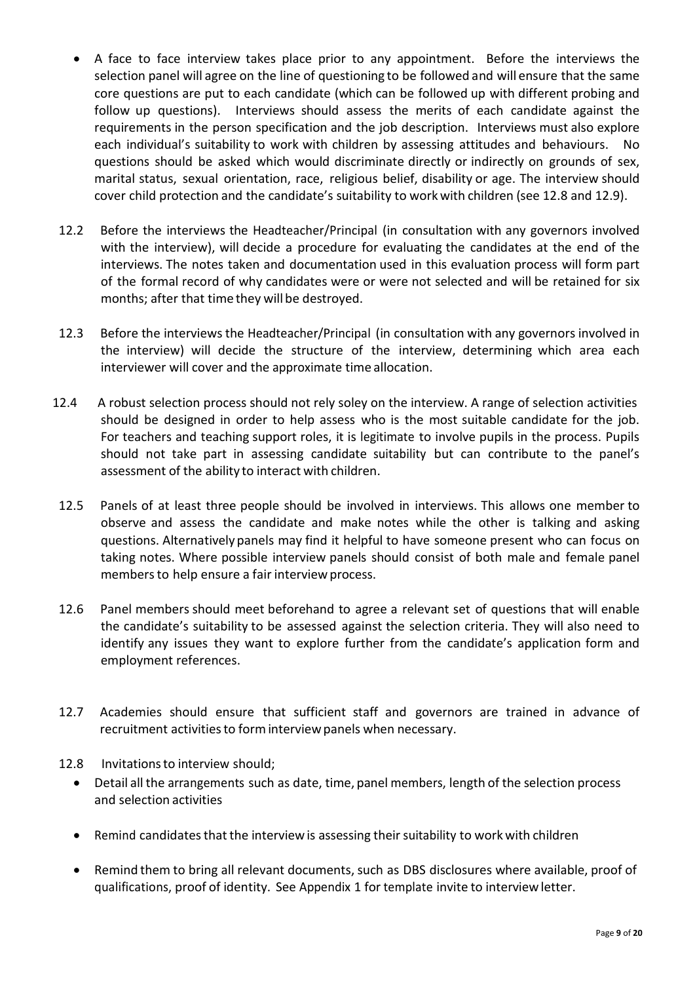- A face to face interview takes place prior to any appointment. Before the interviews the selection panel will agree on the line of questioning to be followed and will ensure that the same core questions are put to each candidate (which can be followed up with different probing and follow up questions). Interviews should assess the merits of each candidate against the requirements in the person specification and the job description. Interviews must also explore each individual's suitability to work with children by assessing attitudes and behaviours. No questions should be asked which would discriminate directly or indirectly on grounds of sex, marital status, sexual orientation, race, religious belief, disability or age. The interview should cover child protection and the candidate's suitability to work with children (see 12.8 and 12.9).
- 12.2 Before the interviews the Headteacher/Principal (in consultation with any governors involved with the interview), will decide a procedure for evaluating the candidates at the end of the interviews. The notes taken and documentation used in this evaluation process will form part of the formal record of why candidates were or were not selected and will be retained for six months; after that time they will be destroyed.
- 12.3 Before the interviewsthe Headteacher/Principal (in consultation with any governors involved in the interview) will decide the structure of the interview, determining which area each interviewer will cover and the approximate time allocation.
- 12.4 A robust selection process should not rely soley on the interview. A range of selection activities should be designed in order to help assess who is the most suitable candidate for the job. For teachers and teaching support roles, it is legitimate to involve pupils in the process. Pupils should not take part in assessing candidate suitability but can contribute to the panel's assessment of the ability to interact with children.
- 12.5 Panels of at least three people should be involved in interviews. This allows one member to observe and assess the candidate and make notes while the other is talking and asking questions. Alternativelypanels may find it helpful to have someone present who can focus on taking notes. Where possible interview panels should consist of both male and female panel members to help ensure a fair interview process.
- 12.6 Panel members should meet beforehand to agree a relevant set of questions that will enable the candidate's suitability to be assessed against the selection criteria. They will also need to identify any issues they want to explore further from the candidate's application form and employment references.
- 12.7 Academies should ensure that sufficient staff and governors are trained in advance of recruitment activities to form interview panels when necessary.
- 12.8 Invitationsto interview should;
	- Detail all the arrangements such as date, time, panel members, length of the selection process and selection activities
	- Remind candidatesthat the interviewis assessing their suitability to work with children
	- Remind them to bring all relevant documents, such as DBS disclosures where available, proof of qualifications, proof of identity. See Appendix 1 for template invite to interviewletter.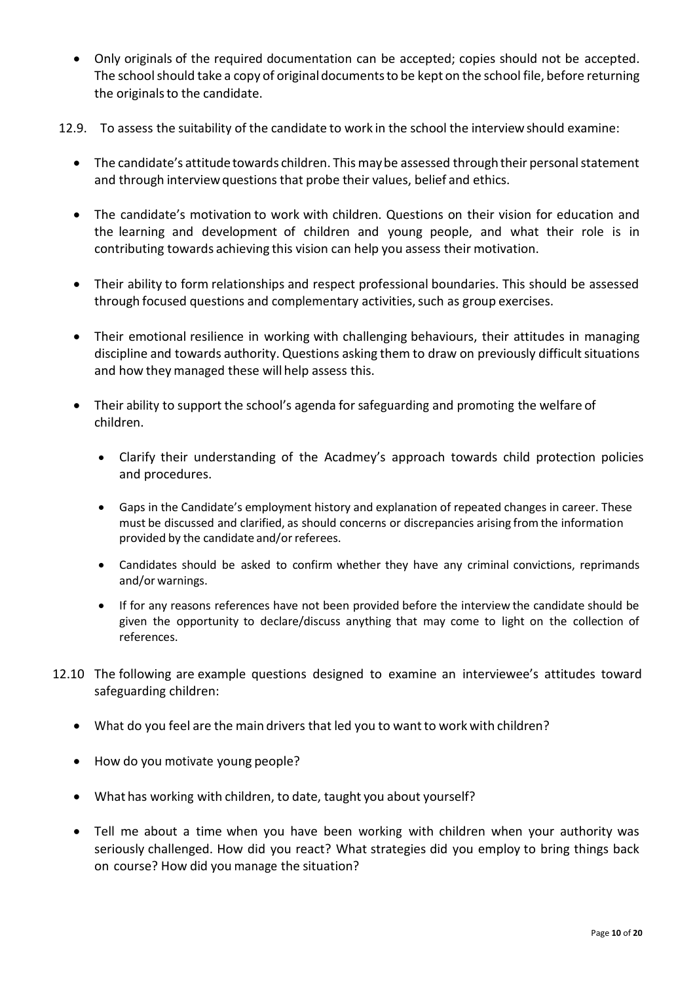- Only originals of the required documentation can be accepted; copies should not be accepted. The school should take a copy of original documents to be kept on the school file, before returning the originals to the candidate.
- 12.9. To assess the suitability of the candidate to work in the school the interviewshould examine:
	- The candidate's attitude towards children. This may be assessed through their personal statement and through interview questions that probe their values, belief and ethics.
	- The candidate's motivation to work with children. Questions on their vision for education and the learning and development of children and young people, and what their role is in contributing towards achieving this vision can help you assess their motivation.
	- Their ability to form relationships and respect professional boundaries. This should be assessed through focused questions and complementary activities, such as group exercises.
	- Their emotional resilience in working with challenging behaviours, their attitudes in managing discipline and towards authority. Questions asking them to draw on previously difficult situations and how they managed these will help assess this.
	- Their ability to support the school's agenda for safeguarding and promoting the welfare of children.
		- Clarify their understanding of the Acadmey's approach towards child protection policies and procedures.
		- Gaps in the Candidate's employment history and explanation of repeated changes in career. These must be discussed and clarified, as should concerns or discrepancies arising from the information provided by the candidate and/or referees.
		- Candidates should be asked to confirm whether they have any criminal convictions, reprimands and/or warnings.
		- If for any reasons references have not been provided before the interview the candidate should be given the opportunity to declare/discuss anything that may come to light on the collection of references.
- 12.10 The following are example questions designed to examine an interviewee's attitudes toward safeguarding children:
	- What do you feel are the main drivers that led you to want to work with children?
	- How do you motivate young people?
	- What has working with children, to date, taught you about yourself?
	- Tell me about a time when you have been working with children when your authority was seriously challenged. How did you react? What strategies did you employ to bring things back on course? How did you manage the situation?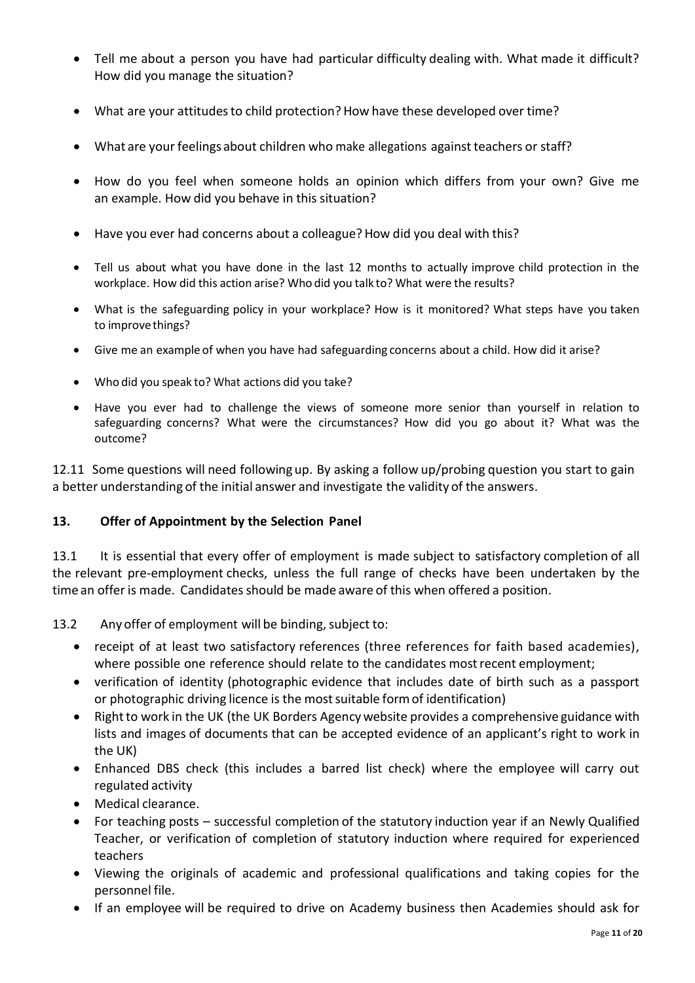- Tell me about a person you have had particular difficulty dealing with. What made it difficult? How did you manage the situation?
- What are your attitudes to child protection? How have these developed over time?
- What are your feelings about children who make allegations against teachers or staff?
- How do you feel when someone holds an opinion which differs from your own? Give me an example. How did you behave in this situation?
- Have you ever had concerns about a colleague? How did you deal with this?
- Tell us about what you have done in the last 12 months to actually improve child protection in the workplace. How did this action arise? Who did you talk to? What were the results?
- What is the safeguarding policy in your workplace? How is it monitored? What steps have you taken to improvethings?
- Give me an example of when you have had safeguarding concerns about a child. How did it arise?
- Who did you speak to? What actions did you take?
- Have you ever had to challenge the views of someone more senior than yourself in relation to safeguarding concerns? What were the circumstances? How did you go about it? What was the outcome?

12.11 Some questions will need following up. By asking a follow up/probing question you start to gain a better understanding of the initial answer and investigate the validity of the answers.

# **13. Offer of Appointment by the Selection Panel**

13.1 It is essential that every offer of employment is made subject to satisfactory completion of all the relevant pre-employment checks, unless the full range of checks have been undertaken by the time an offer is made. Candidates should be made aware of this when offered a position.

13.2 Any offer of employment will be binding, subject to:

- receipt of at least two satisfactory references (three references for faith based academies), where possible one reference should relate to the candidates most recent employment;
- verification of identity (photographic evidence that includes date of birth such as a passport or photographic driving licence is the mostsuitable formof identification)
- Right to work in the UK (the UK Borders Agency website provides a comprehensive guidance with lists and images of documents that can be accepted evidence of an applicant's right to work in the UK)
- Enhanced DBS check (this includes a barred list check) where the employee will carry out regulated activity
- Medical clearance.
- For teaching posts successful completion of the statutory induction year if an Newly Qualified Teacher, or verification of completion of statutory induction where required for experienced teachers
- Viewing the originals of academic and professional qualifications and taking copies for the personnel file.
- If an employee will be required to drive on Academy business then Academies should ask for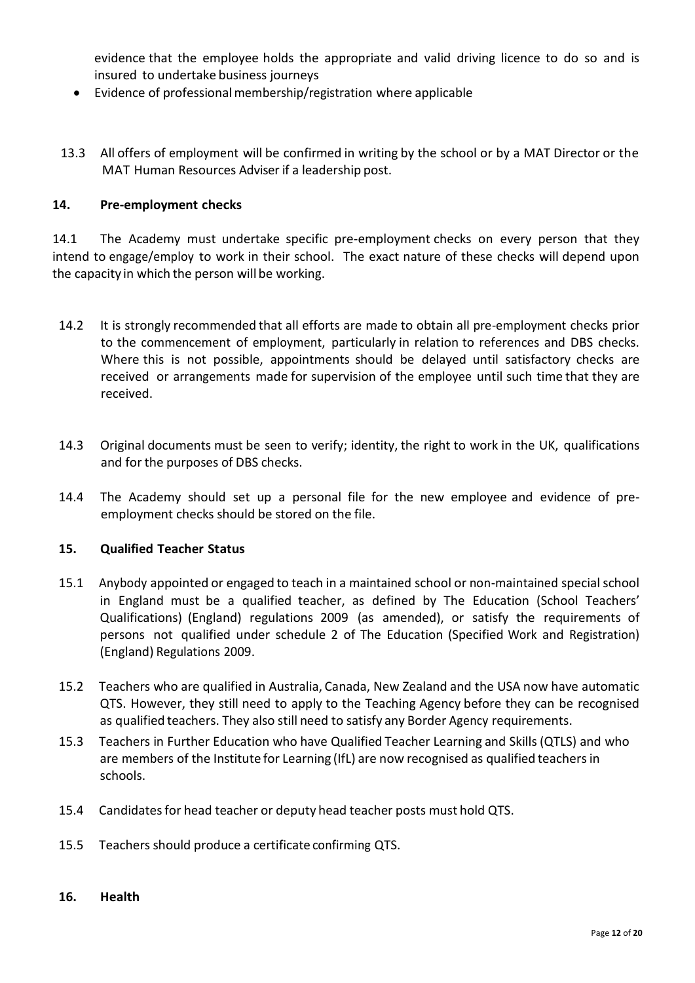evidence that the employee holds the appropriate and valid driving licence to do so and is insured to undertake business journeys

- Evidence of professionalmembership/registration where applicable
- 13.3 All offers of employment will be confirmed in writing by the school or by a MAT Director or the MAT Human Resources Adviser if a leadership post.

## **14. Pre-employment checks**

14.1 The Academy must undertake specific pre-employment checks on every person that they intend to engage/employ to work in their school. The exact nature of these checks will depend upon the capacity in which the person will be working.

- 14.2 It is strongly recommended that all efforts are made to obtain all pre-employment checks prior to the commencement of employment, particularly in relation to references and DBS checks. Where this is not possible, appointments should be delayed until satisfactory checks are received or arrangements made for supervision of the employee until such time that they are received.
- 14.3 Original documents must be seen to verify; identity, the right to work in the UK, qualifications and for the purposes of DBS checks.
- 14.4 The Academy should set up a personal file for the new employee and evidence of preemployment checks should be stored on the file.

## **15. Qualified Teacher Status**

- 15.1 Anybody appointed or engaged to teach in a maintained school or non-maintained special school in England must be a qualified teacher, as defined by The Education (School Teachers' Qualifications) (England) regulations 2009 (as amended), or satisfy the requirements of persons not qualified under schedule 2 of The Education (Specified Work and Registration) (England) Regulations 2009.
- 15.2 Teachers who are qualified in Australia, Canada, New Zealand and the USA now have automatic QTS. However, they still need to apply to the Teaching Agency before they can be recognised as qualified teachers. They also still need to satisfy any Border Agency requirements.
- 15.3 Teachers in Further Education who have Qualified Teacher Learning and Skills (QTLS) and who are members of the Institute for Learning (IfL) are now recognised as qualified teachersin schools.
- 15.4 Candidates for head teacher or deputy head teacher posts must hold QTS.
- 15.5 Teachers should produce a certificate confirming QTS.
- **16. Health**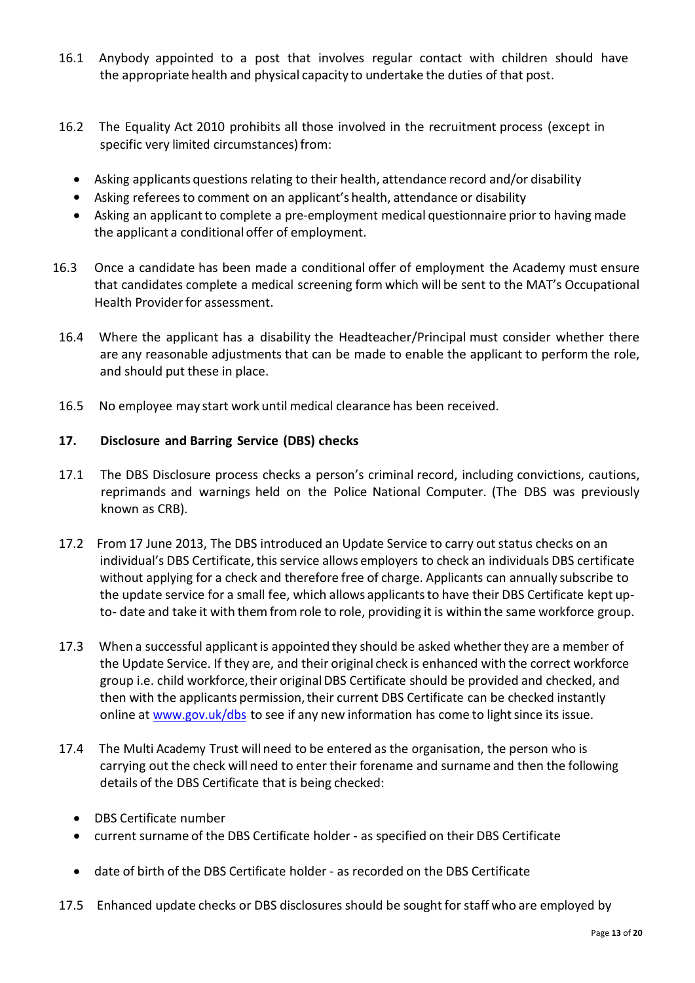- 16.1 Anybody appointed to a post that involves regular contact with children should have the appropriate health and physical capacity to undertake the duties of that post.
- 16.2 The Equality Act 2010 prohibits all those involved in the recruitment process (except in specific very limited circumstances) from:
	- Asking applicants questions relating to their health, attendance record and/or disability
	- Asking refereesto comment on an applicant's health, attendance or disability
	- Asking an applicantto complete a pre-employment medical questionnaire prior to having made the applicant a conditional offer of employment.
- 16.3 Once a candidate has been made a conditional offer of employment the Academy must ensure that candidates complete a medical screening form which will be sent to the MAT's Occupational Health Provider for assessment.
- 16.4 Where the applicant has a disability the Headteacher/Principal must consider whether there are any reasonable adjustments that can be made to enable the applicant to perform the role, and should put these in place.
- 16.5 No employee may start work until medical clearance has been received.

# **17. Disclosure and Barring Service (DBS) checks**

- 17.1 The DBS Disclosure process checks a person's criminal record, including convictions, cautions, reprimands and warnings held on the Police National Computer. (The DBS was previously known as CRB).
- 17.2 From 17 June 2013, The DBS introduced an Update Service to carry outstatus checks on an individual's DBS Certificate, this service allows employers to check an individuals DBS certificate without applying for a check and therefore free of charge. Applicants can annually subscribe to the update service for a small fee, which allows applicants to have their DBS Certificate kept upto- date and take it with them from role to role, providing it is within the same workforce group.
- 17.3 When a successful applicant is appointed they should be asked whether they are a member of the Update Service. If they are, and their original check is enhanced with the correct workforce group i.e. child workforce,their originalDBS Certificate should be provided and checked, and then with the applicants permission, their current DBS Certificate can be checked instantly online at [www.gov.uk/dbs](http://www.gov.uk/dbs) to see if any new information has come to light since its issue.
- 17.4 The Multi Academy Trust will need to be entered as the organisation, the person who is carrying out the check will need to enter their forename and surname and then the following details of the DBS Certificate that is being checked:
	- DBS Certificate number
	- current surname of the DBS Certificate holder as specified on their DBS Certificate
	- date of birth of the DBS Certificate holder as recorded on the DBS Certificate
- 17.5 Enhanced update checks or DBS disclosures should be sought forstaff who are employed by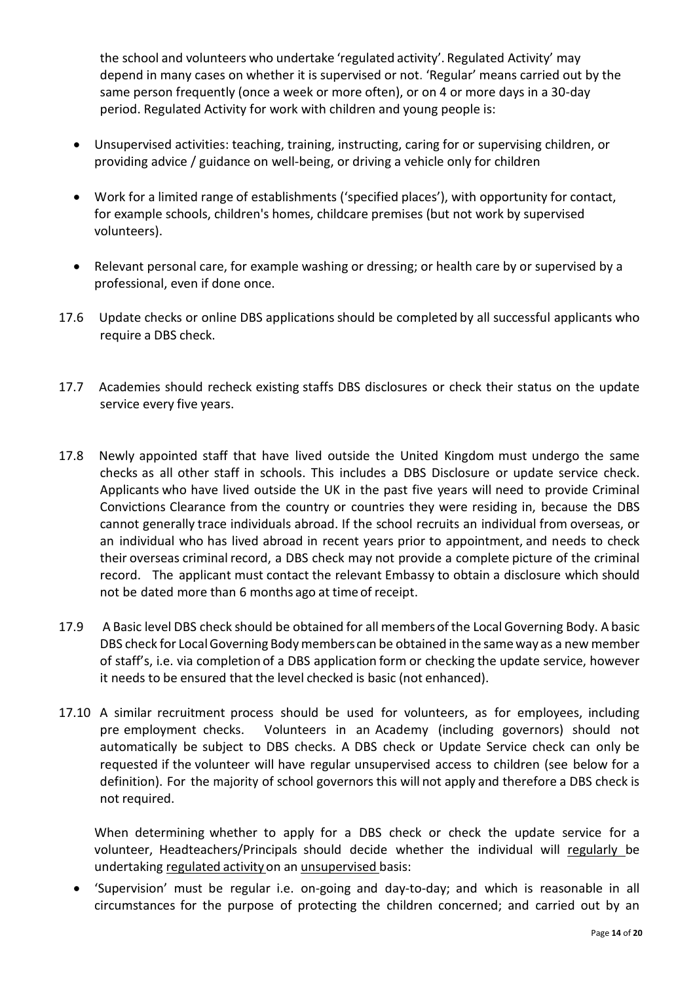the school and volunteers who undertake 'regulated activity'. Regulated Activity' may depend in many cases on whether it is supervised or not. 'Regular' means carried out by the same person frequently (once a week or more often), or on 4 or more days in a 30-day period. Regulated Activity for work with children and young people is:

- Unsupervised activities: teaching, training, instructing, caring for or supervising children, or providing advice / guidance on well-being, or driving a vehicle only for children
- Work for a limited range of establishments ('specified places'), with opportunity for contact, for example schools, children's homes, childcare premises (but not work by supervised volunteers).
- Relevant personal care, for example washing or dressing; or health care by or supervised by a professional, even if done once.
- 17.6 Update checks or online DBS applications should be completed by all successful applicants who require a DBS check.
- 17.7 Academies should recheck existing staffs DBS disclosures or check their status on the update service every five years.
- 17.8 Newly appointed staff that have lived outside the United Kingdom must undergo the same checks as all other staff in schools. This includes a DBS Disclosure or update service check. Applicants who have lived outside the UK in the past five years will need to provide Criminal Convictions Clearance from the country or countries they were residing in, because the DBS cannot generally trace individuals abroad. If the school recruits an individual from overseas, or an individual who has lived abroad in recent years prior to appointment, and needs to check their overseas criminal record, a DBS check may not provide a complete picture of the criminal record. The applicant must contact the relevant Embassy to obtain a disclosure which should not be dated more than 6 months ago at time of receipt.
- 17.9 A Basic level DBS check should be obtained for all membersof the Local Governing Body. A basic DBS check for LocalGoverning Bodymembers can be obtained in the sameway as a new member of staff's, i.e. via completion of a DBS application form or checking the update service, however it needs to be ensured that the level checked is basic (not enhanced).
- 17.10 A similar recruitment process should be used for volunteers, as for employees, including pre employment checks. Volunteers in an Academy (including governors) should not automatically be subject to DBS checks. A DBS check or Update Service check can only be requested if the volunteer will have regular unsupervised access to children (see below for a definition). For the majority of school governors this will not apply and therefore a DBS check is not required.

When determining whether to apply for a DBS check or check the update service for a volunteer, Headteachers/Principals should decide whether the individual will regularly be undertaking regulated activity on an unsupervised basis:

 'Supervision' must be regular i.e. on-going and day-to-day; and which is reasonable in all circumstances for the purpose of protecting the children concerned; and carried out by an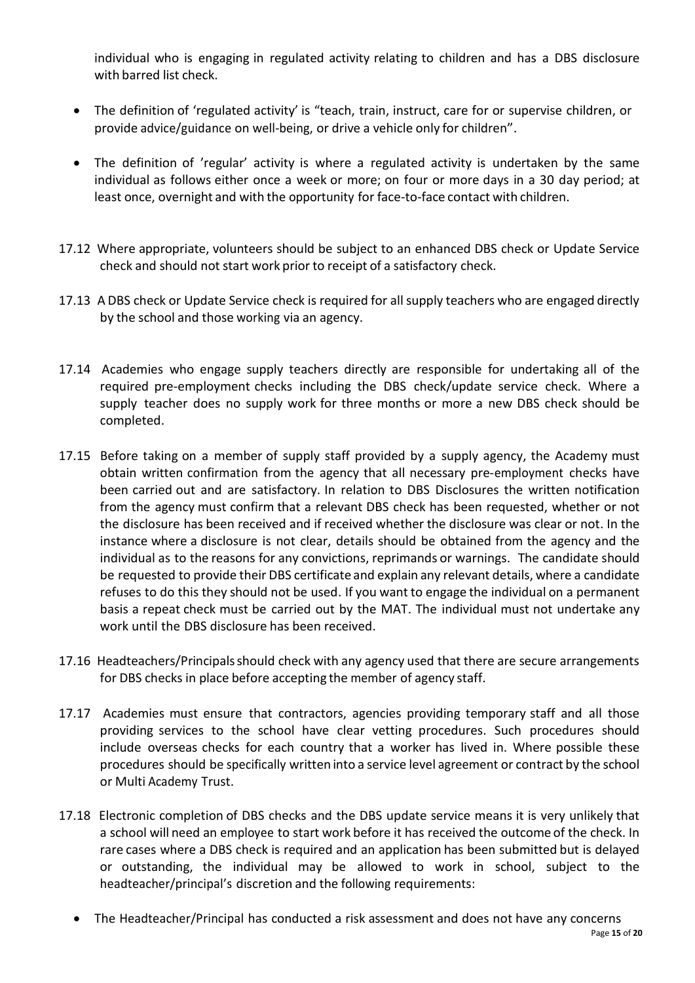individual who is engaging in regulated activity relating to children and has a DBS disclosure with barred list check.

- The definition of 'regulated activity' is "teach, train, instruct, care for or supervise children, or provide advice/guidance on well-being, or drive a vehicle only for children".
- The definition of 'regular' activity is where a regulated activity is undertaken by the same individual as follows either once a week or more; on four or more days in a 30 day period; at least once, overnight and with the opportunity for face-to-face contact with children.
- 17.12 Where appropriate, volunteers should be subject to an enhanced DBS check or Update Service check and should not start work prior to receipt of a satisfactory check.
- 17.13 A DBS check or Update Service check is required for all supply teachers who are engaged directly by the school and those working via an agency.
- 17.14 Academies who engage supply teachers directly are responsible for undertaking all of the required pre-employment checks including the DBS check/update service check. Where a supply teacher does no supply work for three months or more a new DBS check should be completed.
- 17.15 Before taking on a member of supply staff provided by a supply agency, the Academy must obtain written confirmation from the agency that all necessary pre-employment checks have been carried out and are satisfactory. In relation to DBS Disclosures the written notification from the agency must confirm that a relevant DBS check has been requested, whether or not the disclosure has been received and if received whether the disclosure was clear or not. In the instance where a disclosure is not clear, details should be obtained from the agency and the individual as to the reasons for any convictions, reprimands or warnings. The candidate should be requested to provide their DBS certificate and explain any relevant details, where a candidate refuses to do this they should not be used. If you want to engage the individual on a permanent basis a repeat check must be carried out by the MAT. The individual must not undertake any work until the DBS disclosure has been received.
- 17.16 Headteachers/Principalsshould check with any agency used that there are secure arrangements for DBS checks in place before accepting the member of agency staff.
- 17.17 Academies must ensure that contractors, agencies providing temporary staff and all those providing services to the school have clear vetting procedures. Such procedures should include overseas checks for each country that a worker has lived in. Where possible these procedures should be specifically written into a service level agreement or contract by the school or Multi Academy Trust.
- 17.18 Electronic completion of DBS checks and the DBS update service means it is very unlikely that a school will need an employee to start work before it has received the outcome of the check. In rare cases where a DBS check is required and an application has been submitted but is delayed or outstanding, the individual may be allowed to work in school, subject to the headteacher/principal's discretion and the following requirements:
	- The Headteacher/Principal has conducted a risk assessment and does not have any concerns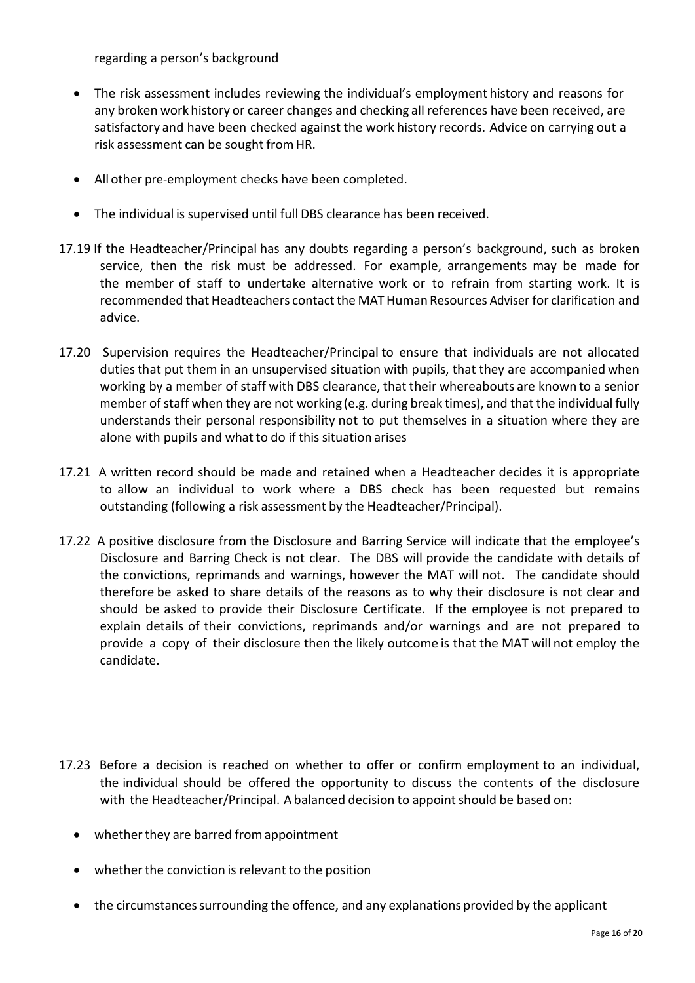regarding a person's background

- The risk assessment includes reviewing the individual's employment history and reasons for any broken work history or career changes and checking all references have been received, are satisfactory and have been checked against the work history records. Advice on carrying out a risk assessment can be sought from HR.
- All other pre-employment checks have been completed.
- The individual is supervised until full DBS clearance has been received.
- 17.19 If the Headteacher/Principal has any doubts regarding a person's background, such as broken service, then the risk must be addressed. For example, arrangements may be made for the member of staff to undertake alternative work or to refrain from starting work. It is recommended that Headteachers contact the MAT Human Resources Adviser for clarification and advice.
- 17.20 Supervision requires the Headteacher/Principal to ensure that individuals are not allocated duties that put them in an unsupervised situation with pupils, that they are accompanied when working by a member of staff with DBS clearance, that their whereabouts are known to a senior member of staff when they are not working (e.g. during break times), and that the individual fully understands their personal responsibility not to put themselves in a situation where they are alone with pupils and what to do if this situation arises
- 17.21 A written record should be made and retained when a Headteacher decides it is appropriate to allow an individual to work where a DBS check has been requested but remains outstanding (following a risk assessment by the Headteacher/Principal).
- 17.22 A positive disclosure from the Disclosure and Barring Service will indicate that the employee's Disclosure and Barring Check is not clear. The DBS will provide the candidate with details of the convictions, reprimands and warnings, however the MAT will not. The candidate should therefore be asked to share details of the reasons as to why their disclosure is not clear and should be asked to provide their Disclosure Certificate. If the employee is not prepared to explain details of their convictions, reprimands and/or warnings and are not prepared to provide a copy of their disclosure then the likely outcome is that the MAT will not employ the candidate.
- 17.23 Before a decision is reached on whether to offer or confirm employment to an individual, the individual should be offered the opportunity to discuss the contents of the disclosure with the Headteacher/Principal. A balanced decision to appoint should be based on:
	- whether they are barred from appointment
	- $\bullet$  whether the conviction is relevant to the position
	- the circumstances surrounding the offence, and any explanations provided by the applicant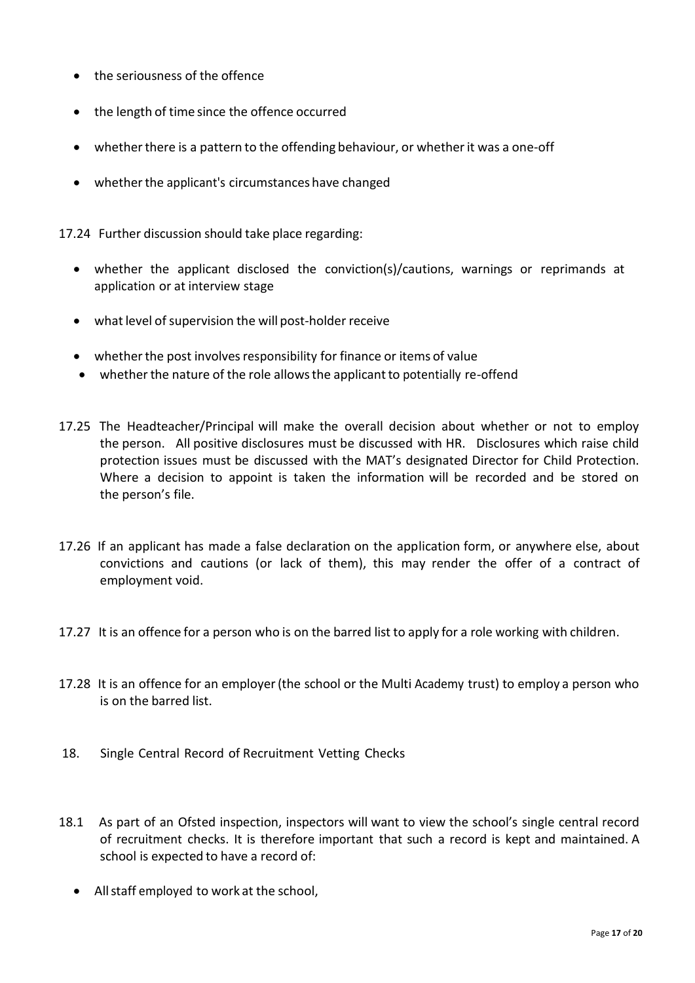- the seriousness of the offence
- the length of time since the offence occurred
- whether there is a pattern to the offending behaviour, or whether it was a one-off
- whether the applicant's circumstances have changed

17.24 Further discussion should take place regarding:

- whether the applicant disclosed the conviction(s)/cautions, warnings or reprimands at application or at interview stage
- what level of supervision the will post-holder receive
- $\bullet$  whether the post involves responsibility for finance or items of value
- $\bullet$  whether the nature of the role allows the applicant to potentially re-offend
- 17.25 The Headteacher/Principal will make the overall decision about whether or not to employ the person. All positive disclosures must be discussed with HR. Disclosures which raise child protection issues must be discussed with the MAT's designated Director for Child Protection. Where a decision to appoint is taken the information will be recorded and be stored on the person's file.
- 17.26 If an applicant has made a false declaration on the application form, or anywhere else, about convictions and cautions (or lack of them), this may render the offer of a contract of employment void.
- 17.27 It is an offence for a person who is on the barred list to apply for a role working with children.
- 17.28 It is an offence for an employer (the school or the Multi Academy trust) to employ a person who is on the barred list.
- 18. Single Central Record of Recruitment Vetting Checks
- 18.1 As part of an Ofsted inspection, inspectors will want to view the school's single central record of recruitment checks. It is therefore important that such a record is kept and maintained. A school is expected to have a record of:
	- Allstaff employed to work at the school,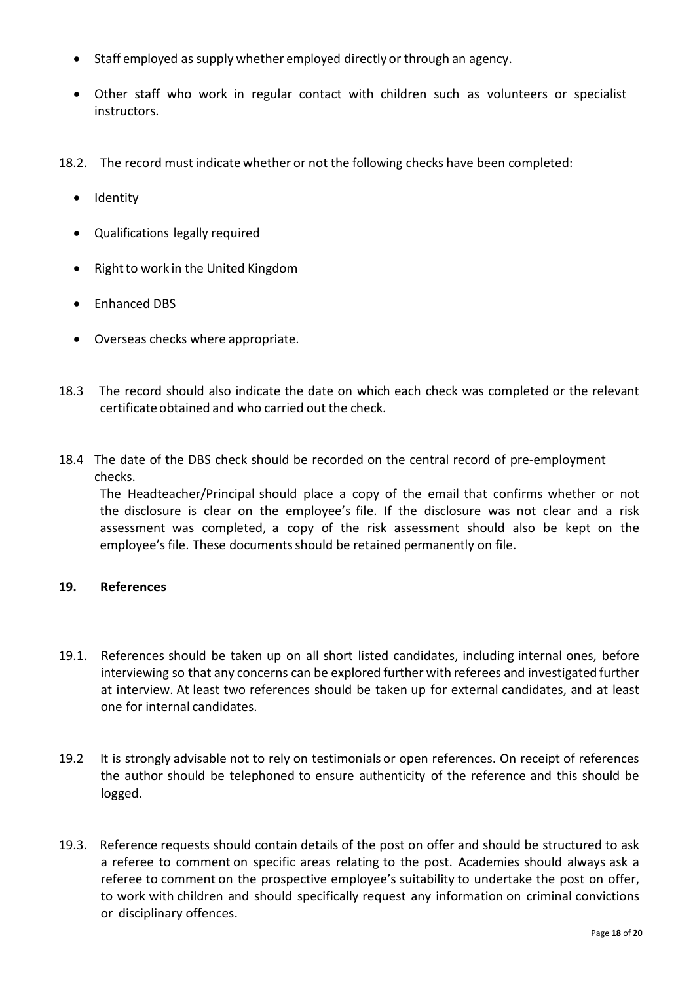- Staff employed as supply whether employed directly or through an agency.
- Other staff who work in regular contact with children such as volunteers or specialist instructors.
- 18.2. The record mustindicatewhether or not the following checks have been completed:
	- Identity
	- Qualifications legally required
	- Right to work in the United Kingdom
	- Enhanced DBS
	- Overseas checks where appropriate.
- 18.3 The record should also indicate the date on which each check was completed or the relevant certificate obtained and who carried out the check.
- 18.4 The date of the DBS check should be recorded on the central record of pre-employment checks.

The Headteacher/Principal should place a copy of the email that confirms whether or not the disclosure is clear on the employee's file. If the disclosure was not clear and a risk assessment was completed, a copy of the risk assessment should also be kept on the employee's file. These documents should be retained permanently on file.

# **19. References**

- 19.1. References should be taken up on all short listed candidates, including internal ones, before interviewing so that any concerns can be explored further with referees and investigated further at interview. At least two references should be taken up for external candidates, and at least one for internal candidates.
- 19.2 It is strongly advisable not to rely on testimonials or open references. On receipt of references the author should be telephoned to ensure authenticity of the reference and this should be logged.
- 19.3. Reference requests should contain details of the post on offer and should be structured to ask a referee to comment on specific areas relating to the post. Academies should always ask a referee to comment on the prospective employee's suitability to undertake the post on offer, to work with children and should specifically request any information on criminal convictions or disciplinary offences.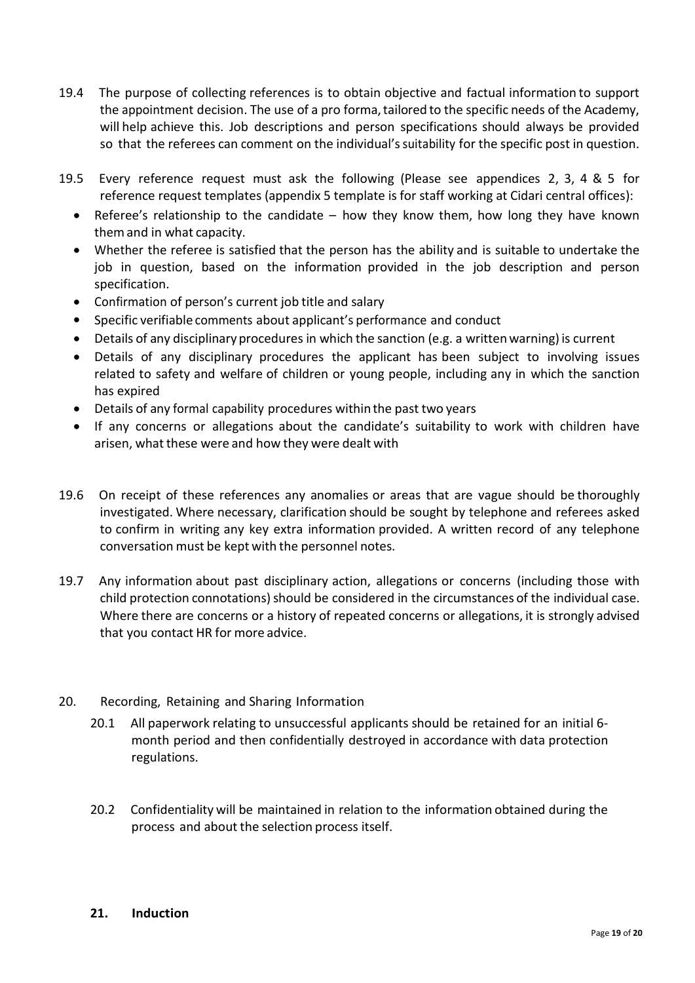- 19.4 The purpose of collecting references is to obtain objective and factual information to support the appointment decision. The use of a pro forma, tailored to the specific needs of the Academy, will help achieve this. Job descriptions and person specifications should always be provided so that the referees can comment on the individual'ssuitability for the specific post in question.
- 19.5 Every reference request must ask the following (Please see appendices 2, 3, 4 & 5 for reference request templates (appendix 5 template is for staff working at Cidari central offices):
	- Referee's relationship to the candidate  $-$  how they know them, how long they have known themand in what capacity.
	- Whether the referee is satisfied that the person has the ability and is suitable to undertake the job in question, based on the information provided in the job description and person specification.
	- Confirmation of person's current job title and salary
	- Specific verifiable comments about applicant's performance and conduct
	- Details of any disciplinary procedures in which the sanction (e.g. a written warning) is current
	- Details of any disciplinary procedures the applicant has been subject to involving issues related to safety and welfare of children or young people, including any in which the sanction has expired
	- Details of any formal capability procedures within the past two years
	- If any concerns or allegations about the candidate's suitability to work with children have arisen, what these were and how they were dealt with
- 19.6 On receipt of these references any anomalies or areas that are vague should be thoroughly investigated. Where necessary, clarification should be sought by telephone and referees asked to confirm in writing any key extra information provided. A written record of any telephone conversation must be kept with the personnel notes.
- 19.7 Any information about past disciplinary action, allegations or concerns (including those with child protection connotations) should be considered in the circumstances of the individual case. Where there are concerns or a history of repeated concerns or allegations, it is strongly advised that you contact HR for more advice.
- 20. Recording, Retaining and Sharing Information
	- 20.1 All paperwork relating to unsuccessful applicants should be retained for an initial 6 month period and then confidentially destroyed in accordance with data protection regulations.
	- 20.2 Confidentiality will be maintained in relation to the information obtained during the process and about the selection process itself.